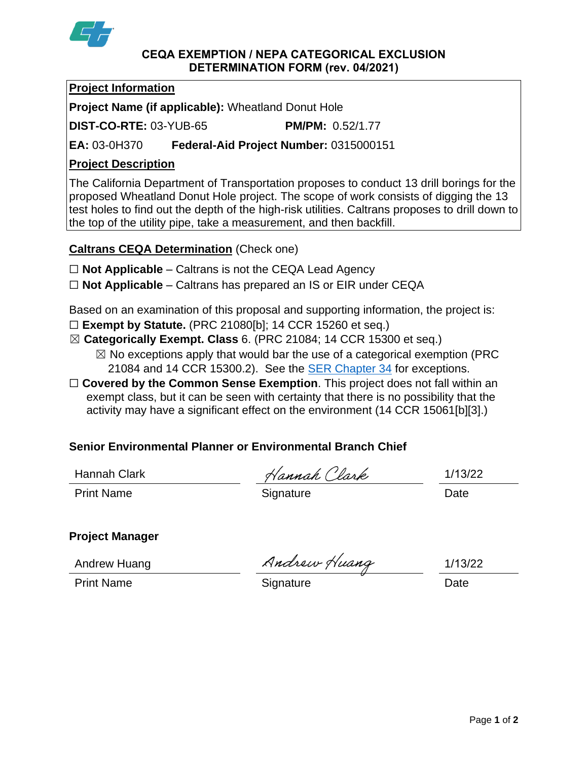

#### **CEQA EXEMPTION / NEPA CATEGORICAL EXCLUSION DETERMINATION FORM (rev. 04/2021)**

## **Project Information**

**Project Name (if applicable):** Wheatland Donut Hole

**DIST-CO-RTE:** 03-YUB-65 **PM/PM:** 0.52/1.77

**EA:** 03-0H370 **Federal-Aid Project Number:** 0315000151

# **Project Description**

The California Department of Transportation proposes to conduct 13 drill borings for the proposed Wheatland Donut Hole project. The scope of work consists of digging the 13 test holes to find out the depth of the high-risk utilities. Caltrans proposes to drill down to the top of the utility pipe, take a measurement, and then backfill.

**Caltrans CEQA Determination** (Check one)

- ☐ **Not Applicable** Caltrans is not the CEQA Lead Agency
- ☐ **Not Applicable** Caltrans has prepared an IS or EIR under CEQA

Based on an examination of this proposal and supporting information, the project is:

- ☐ **Exempt by Statute.** (PRC 21080[b]; 14 CCR 15260 et seq.)
- ☒ **Categorically Exempt. Class** 6. (PRC 21084; 14 CCR 15300 et seq.)  $\boxtimes$  No exceptions apply that would bar the use of a categorical exemption (PRC
	- 21084 and 14 CCR 15300.2). See the **SER Chapter 34** for exceptions.
- □ **Covered by the Common Sense Exemption**. This project does not fall within an exempt class, but it can be seen with certainty that there is no possibility that the activity may have a significant effect on the environment (14 CCR 15061[b][3].)

## **Senior Environmental Planner or Environmental Branch Chief**

Hannah Clark 1/13/22

Print Name **Signature Date** 

# **Project Manager**

Print Name **Signature** Signature **Date** 

Andrew Huang Andrew Huang 1/13/22